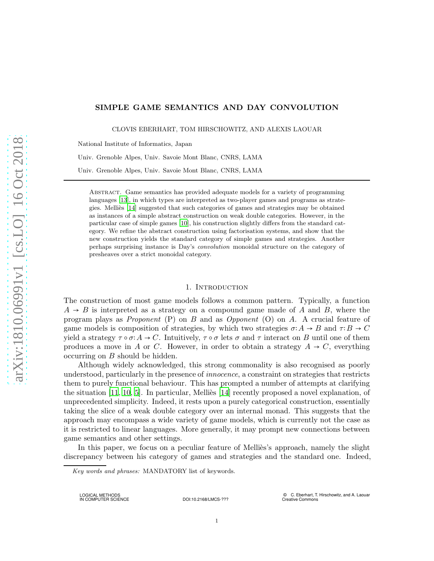# SIMPLE GAME SEMANTICS AND DAY CONVOLUTION

CLOVIS EBERHART, TOM HIRSCHOWITZ, AND ALEXIS LAOUAR

National Institute of Informatics, Japan

Univ. Grenoble Alpes, Univ. Savoie Mont Blanc, CNRS, LAMA

Univ. Grenoble Alpes, Univ. Savoie Mont Blanc, CNRS, LAMA

Abstract. Game semantics has provided adequate models for a variety of programming languages [\[13](#page-11-0)], in which types are interpreted as two-player games and programs as strategies. Melli`es [\[14](#page-11-1)] suggested that such categories of games and strategies may be obtained as instances of a simple abstract construction on weak double categories. However, in the particular case of simple games [10], his construction slightly differs from the standard category. We refine the abstract construction using factorisation systems, and show that the new construction yields the standard category of simple games and strategies. Another perhaps surprising instance is Day's convolution monoidal structure on the category of presheaves over a strict monoidal category.

#### 1. INTRODUCTION

The construction of most game models follows a common pattern. Typically, a function  $A \rightarrow B$  is interpreted as a strategy on a compound game made of A and B, where the program plays as *Proponent* (P) on B and as Opponent (O) on A. A crucial feature of game models is composition of strategies, by which two strategies  $\sigma: A \to B$  and  $\tau: B \to C$ yield a strategy  $\tau \circ \sigma : A \to C$ . Intuitively,  $\tau \circ \sigma$  lets  $\sigma$  and  $\tau$  interact on B until one of them produces a move in A or C. However, in order to obtain a strategy  $A \rightarrow C$ , everything occurring on B should be hidden.

Although widely acknowledged, this strong commonality is also recognised as poorly understood, particularly in the presence of innocence, a constraint on strategies that restricts them to purely functional behaviour. This has prompted a number of attempts at clarifying the situation  $[11, 10, 5]$ . In particular, Melliès  $[14]$  recently proposed a novel explanation, of unprecedented simplicity. Indeed, it rests upon a purely categorical construction, essentially taking the slice of a weak double category over an internal monad. This suggests that the approach may encompass a wide variety of game models, which is currently not the case as it is restricted to linear languages. More generally, it may prompt new connections between game semantics and other settings.

In this paper, we focus on a peculiar feature of Melliès's approach, namely the slight discrepancy between his category of games and strategies and the standard one. Indeed,

Key words and phrases: MANDATORY list of keywords.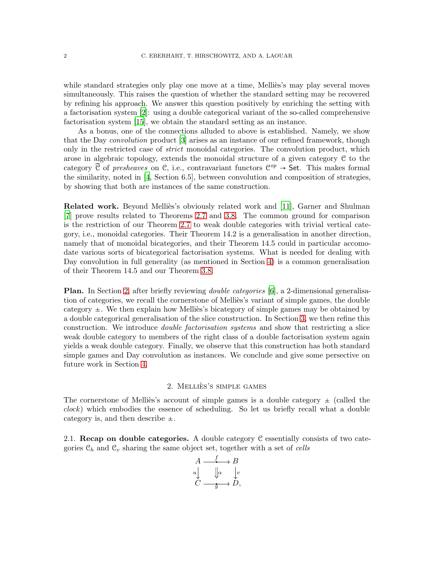while standard strategies only play one move at a time, Melliès's may play several moves simultaneously. This raises the question of whether the standard setting may be recovered by refining his approach. We answer this question positively by enriching the setting with a factorisation system [\[2](#page-11-3)]: using a double categorical variant of the so-called comprehensive factorisation system [\[15\]](#page-11-4), we obtain the standard setting as an instance.

As a bonus, one of the connections alluded to above is established. Namely, we show that the Day convolution product [\[3\]](#page-11-5) arises as an instance of our refined framework, though only in the restricted case of *strict* monoidal categories. The convolution product, which arose in algebraic topology, extends the monoidal structure of a given category C to the category  $\widehat{C}$  of *presheaves* on C, i.e., contravariant functors  $C^{op} \rightarrow$  Set. This makes formal the similarity, noted in [\[4](#page-11-6), Section 6.5], between convolution and composition of strategies, by showing that both are instances of the same construction.

**Related work.** Beyond Mellies's obviously related work and [\[11](#page-11-2)], Garner and Shulman [\[7](#page-11-7)] prove results related to Theorems [2.7](#page-5-0) and [3.8.](#page-8-0) The common ground for comparison is the restriction of our Theorem [2.7](#page-5-0) to weak double categories with trivial vertical category, i.e., monoidal categories. Their Theorem 14.2 is a generalisation in another direction, namely that of monoidal bicategories, and their Theorem 14.5 could in particular accomodate various sorts of bicategorical factorisation systems. What is needed for dealing with Day convolution in full generality (as mentioned in Section [4\)](#page-10-0) is a common generalisation of their Theorem 14.5 and our Theorem [3.8.](#page-8-0)

Plan. In Section [2,](#page-1-0) after briefly reviewing double categories [\[6](#page-11-8)], a 2-dimensional generalisation of categories, we recall the cornerstone of Melliès's variant of simple games, the double category  $\pm$ . We then explain how Mellies's bicategory of simple games may be obtained by a double categorical generalisation of the slice construction. In Section [3,](#page-6-0) we then refine this construction. We introduce double factorisation systems and show that restricting a slice weak double category to members of the right class of a double factorisation system again yields a weak double category. Finally, we observe that this construction has both standard simple games and Day convolution as instances. We conclude and give some persective on future work in Section [4.](#page-10-0)

## 2. MELLIÈS'S SIMPLE GAMES

<span id="page-1-0"></span>The cornerstone of Mellies's account of simple games is a double category  $\pm$  (called the clock) which embodies the essence of scheduling. So let us briefly recall what a double category is, and then describe  $\pm$ .

2.1. Recap on double categories. A double category C essentially consists of two categories  $\mathcal{C}_h$  and  $\mathcal{C}_v$  sharing the same object set, together with a set of cells

$$
\begin{array}{ccc}\nA & \xrightarrow{f} & B \\
u & \downarrow & \downarrow v \\
C & \xrightarrow{g} & D\n\end{array}
$$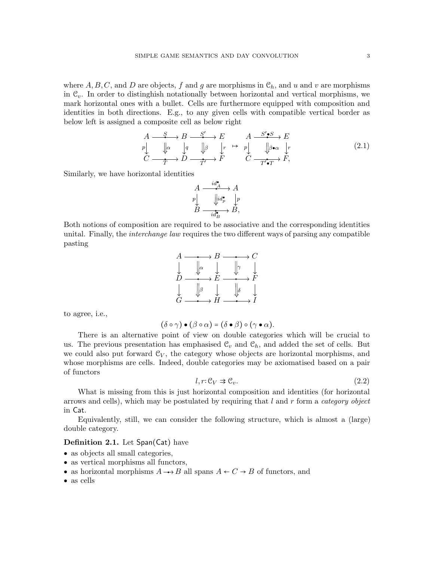where  $A, B, C$ , and D are objects, f and g are morphisms in  $\mathcal{C}_h$ , and u and v are morphisms in  $\mathcal{C}_v$ . In order to distinghish notationally between horizontal and vertical morphisms, we mark horizontal ones with a bullet. Cells are furthermore equipped with composition and identities in both directions. E.g., to any given cells with compatible vertical border as below left is assigned a composite cell as below right

<span id="page-2-1"></span>
$$
A \xrightarrow{S} B \xrightarrow{S'} E \qquad A \xrightarrow{S'\bullet S} E
$$
  
\n
$$
p \downarrow \qquad \downarrow \alpha \qquad \downarrow q \qquad \downarrow \beta \qquad \downarrow r \qquad p \downarrow \qquad \downarrow \beta \bullet \alpha \qquad \downarrow r
$$
  
\n
$$
C \xrightarrow{\tau} D \xrightarrow{\tau} T' \qquad F \qquad C \xrightarrow{\tau \bullet T \bullet F} F,
$$
\n(2.1)

Similarly, we have horizontal identities

$$
\begin{array}{ccc}\nA & \xrightarrow{id_{\mathbf{A}}^{*}} & A \\
p & \downarrow id_{p}^{*} & p \\
B & \xrightarrow{id_{B}^{*}} & B\n\end{array}
$$

Both notions of composition are required to be associative and the corresponding identities unital. Finally, the *interchange law* requires the two different ways of parsing any compatible pasting



to agree, i.e.,

$$
(\delta \circ \gamma) \bullet (\beta \circ \alpha) = (\delta \bullet \beta) \circ (\gamma \bullet \alpha).
$$

There is an alternative point of view on double categories which will be crucial to us. The previous presentation has emphasised  $\mathcal{C}_v$  and  $\mathcal{C}_h$ , and added the set of cells. But we could also put forward  $\mathcal{C}_V$ , the category whose objects are horizontal morphisms, and whose morphisms are cells. Indeed, double categories may be axiomatised based on a pair of functors

<span id="page-2-0"></span>
$$
l, r \colon \mathcal{C}_V \Rightarrow \mathcal{C}_v. \tag{2.2}
$$

What is missing from this is just horizontal composition and identities (for horizontal arrows and cells), which may be postulated by requiring that  $l$  and  $r$  form a *category object* in Cat.

Equivalently, still, we can consider the following structure, which is almost a (large) double category.

## <span id="page-2-2"></span>Definition 2.1. Let Span(Cat) have

- as objects all small categories,
- as vertical morphisms all functors,
- as horizontal morphisms  $A \rightarrow B$  all spans  $A \leftarrow C \rightarrow B$  of functors, and
- as cells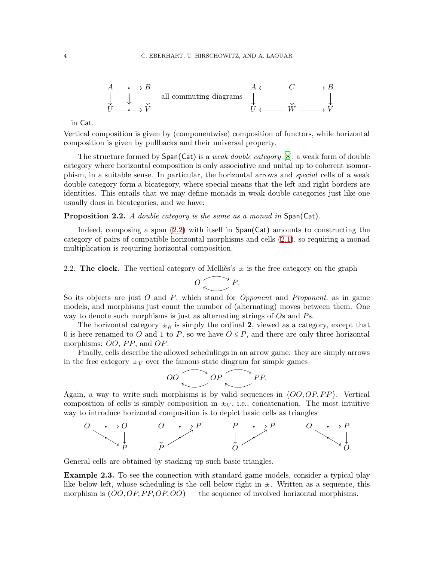

in Cat.

Vertical composition is given by (componentwise) composition of functors, while horizontal composition is given by pullbacks and their universal property.

The structure formed by  $Span(Cat)$  is a *weak double category* [\[8\]](#page-11-9), a weak form of double category where horizontal composition is only associative and unital up to coherent isomorphism, in a suitable sense. In particular, the horizontal arrows and special cells of a weak double category form a bicategory, where special means that the left and right borders are identities. This entails that we may define monads in weak double categories just like one usually does in bicategories, and we have:

### <span id="page-3-0"></span>**Proposition 2.2.** A double category is the same as a monad in Span(Cat).

Indeed, composing a span  $(2.2)$  with itself in Span(Cat) amounts to constructing the category of pairs of compatible horizontal morphisms and cells [\(2.1\)](#page-2-1), so requiring a monad multiplication is requiring horizontal composition.

2.2. The clock. The vertical category of Melliès's  $\pm$  is the free category on the graph

$$
O\bigotimes P.
$$

So its objects are just  $O$  and  $P$ , which stand for *Opponent* and *Proponent*, as in game models, and morphisms just count the number of (alternating) moves between them. One way to denote such morphisms is just as alternating strings of Os and Ps.

The horizontal category  $\pm_h$  is simply the ordinal 2, viewed as a category, except that 0 is here renamed to O and 1 to P, so we have  $O \leq P$ , and there are only three horizontal morphisms:  $OO$ ,  $PP$ , and  $OP$ .

Finally, cells describe the allowed schedulings in an arrow game: they are simply arrows in the free category  $\pm_V$  over the famous state diagram for simple games

$$
OO \bigotimes OP \bigotimes PP.
$$

Again, a way to write such morphisms is by valid sequences in  $\{OO, OP, PP\}$ . Vertical composition of cells is simply composition in  $\pm V$ , i.e., concatenation. The most intuitive way to introduce horizontal composition is to depict basic cells as triangles



General cells are obtained by stacking up such basic triangles.

Example 2.3. To see the connection with standard game models, consider a typical play like below left, whose scheduling is the cell below right in  $\pm$ . Written as a sequence, this morphism is  $(OO, OP, PP, OP, OO)$  — the sequence of involved horizontal morphisms.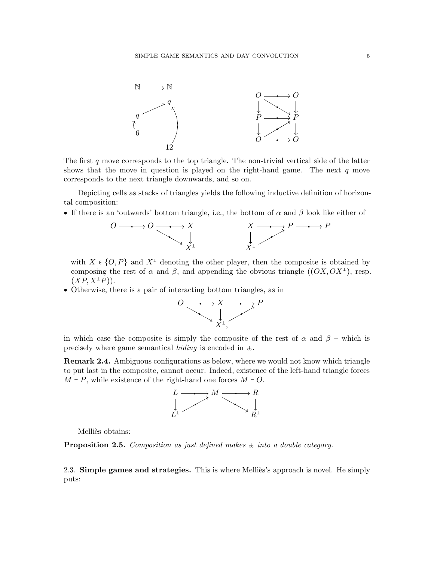

The first  $q$  move corresponds to the top triangle. The non-trivial vertical side of the latter shows that the move in question is played on the right-hand game. The next  $q$  move corresponds to the next triangle downwards, and so on.

Depicting cells as stacks of triangles yields the following inductive definition of horizontal composition:

• If there is an 'outwards' bottom triangle, i.e., the bottom of  $\alpha$  and  $\beta$  look like either of



with  $X \in \{O, P\}$  and  $X^{\perp}$  denoting the other player, then the composite is obtained by composing the rest of  $\alpha$  and  $\beta$ , and appending the obvious triangle  $((OX, OX^{\perp})$ , resp.  $(XP, X^{\perp}P)$ .

• Otherwise, there is a pair of interacting bottom triangles, as in



in which case the composite is simply the composite of the rest of  $\alpha$  and  $\beta$  – which is precisely where game semantical *hiding* is encoded in  $\pm$ .

**Remark 2.4.** Ambiguous configurations as below, where we would not know which triangle to put last in the composite, cannot occur. Indeed, existence of the left-hand triangle forces  $M = P$ , while existence of the right-hand one forces  $M = O$ .



Melliès obtains:

<span id="page-4-0"></span>**Proposition 2.5.** Composition as just defined makes  $\pm$  into a double category.

2.3. Simple games and strategies. This is where Melliès's approach is novel. He simply puts: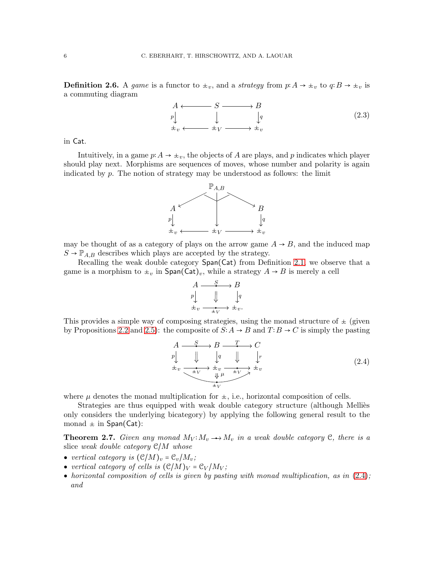**Definition 2.6.** A game is a functor to  $\pm_v$ , and a strategy from  $p: A \to \pm_v$  to  $q: B \to \pm_v$  is a commuting diagram

<span id="page-5-2"></span>

in Cat.

Intuitively, in a game  $p: A \to \pm_v$ , the objects of A are plays, and p indicates which player should play next. Morphisms are sequences of moves, whose number and polarity is again indicated by  $p$ . The notion of strategy may be understood as follows: the limit



may be thought of as a category of plays on the arrow game  $A \rightarrow B$ , and the induced map  $S \to \mathbb{P}_{A,B}$  describes which plays are accepted by the strategy.

Recalling the weak double category Span(Cat) from Definition [2.1,](#page-2-2) we observe that a game is a morphism to  $\pm_v$  in Span(Cat)<sub>v</sub>, while a strategy  $A \rightarrow B$  is merely a cell

$$
\begin{array}{ccc} A & \xrightarrow{\quad S \quad} & B \\ p \Big\downarrow & & \Big\downarrow & \\ \pm_v & \xrightarrow{\quad \ \ \, \bullet \quad} & \pm_v. \end{array}
$$

This provides a simple way of composing strategies, using the monad structure of  $\pm$  (given by Propositions [2.2](#page-3-0) and [2.5\)](#page-4-0): the composite of  $S: A \rightarrow B$  and  $T: B \rightarrow C$  is simply the pasting

<span id="page-5-1"></span>
$$
A \xrightarrow{\quad S \quad} B \xrightarrow{\quad T \quad} C
$$
  
\n
$$
p \downarrow \qquad \qquad \downarrow q \qquad \qquad \downarrow r
$$
  
\n
$$
\pm_v \xrightarrow{\quad \pm_V \quad} \pm_v \xrightarrow{\quad \pm_V \quad} \pm_v
$$
  
\n
$$
\qquad \qquad \downarrow \mu \qquad \pm_V \qquad \qquad \pm_v \qquad \qquad \pm_v
$$
  
\n
$$
\pm_v \qquad \qquad \downarrow \mu \qquad \pm_V \qquad \pm_v \qquad \qquad \pm_v
$$
  
\n(2.4)

where  $\mu$  denotes the monad multiplication for  $\pm$ , i.e., horizontal composition of cells.

Strategies are thus equipped with weak double category structure (although Melliès only considers the underlying bicategory) by applying the following general result to the monad  $\pm$  in Span(Cat):

<span id="page-5-0"></span>**Theorem 2.7.** Given any monad  $M_V: M_v \longrightarrow M_v$  in a weak double category C, there is a slice weak double category  $\mathcal{C}/M$  whose

- vertical category is  $(\mathcal{C}/M)_v = \mathcal{C}_v/M_v$ ;
- vertical category of cells is  $(\mathcal{C}/M)_V = \mathcal{C}_V / M_V$ ;
- horizontal composition of cells is given by pasting with monad multiplication, as in  $(2.4)$ ; and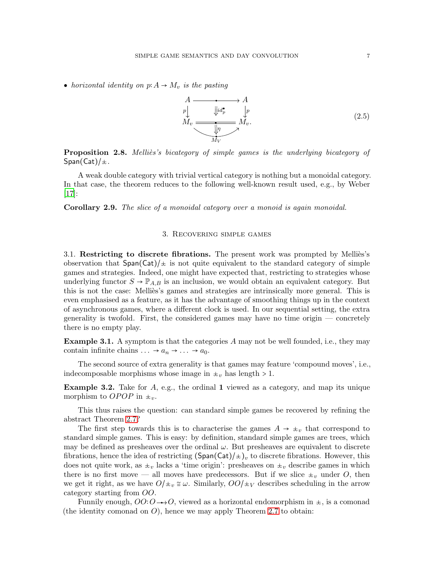• horizontal identity on  $p: A \to M_v$  is the pasting

<span id="page-6-1"></span>

**Proposition 2.8.** Mellies's bicategory of simple games is the underlying bicategory of  $Span(Cat)/\pm$ .

A weak double category with trivial vertical category is nothing but a monoidal category. In that case, the theorem reduces to the following well-known result used, e.g., by Weber [\[17\]](#page-11-10):

<span id="page-6-0"></span>Corollary 2.9. The slice of a monoidal category over a monoid is again monoidal.

# 3. Recovering simple games

3.1. Restricting to discrete fibrations. The present work was prompted by Mellies's observation that  $Span(Cat)/\pm$  is not quite equivalent to the standard category of simple games and strategies. Indeed, one might have expected that, restricting to strategies whose underlying functor  $S \to \mathbb{P}_{A,B}$  is an inclusion, we would obtain an equivalent category. But this is not the case: Mellies's games and strategies are intrinsically more general. This is even emphasised as a feature, as it has the advantage of smoothing things up in the context of asynchronous games, where a different clock is used. In our sequential setting, the extra generality is twofold. First, the considered games may have no time origin — concretely there is no empty play.

**Example 3.1.** A symptom is that the categories A may not be well founded, i.e., they may contain infinite chains  $\ldots \rightarrow a_n \rightarrow \ldots \rightarrow a_0$ .

The second source of extra generality is that games may feature 'compound moves', i.e., indecomposable morphisms whose image in  $\pm_v$  has length > 1.

**Example 3.2.** Take for  $A$ , e.g., the ordinal 1 viewed as a category, and map its unique morphism to OPOP in  $\pm_v$ .

This thus raises the question: can standard simple games be recovered by refining the abstract Theorem [2.7?](#page-5-0)

The first step towards this is to characterise the games  $A \rightarrow \pm_v$  that correspond to standard simple games. This is easy: by definition, standard simple games are trees, which may be defined as presheaves over the ordinal  $\omega$ . But presheaves are equivalent to discrete fibrations, hence the idea of restricting  $(\text{Span}(Cat)/\star)_v$  to discrete fibrations. However, this does not quite work, as  $\pm_v$  lacks a 'time origin': presheaves on  $\pm_v$  describe games in which there is no first move — all moves have predecessors. But if we slice  $\pm_v$  under O, then we get it right, as we have  $O/\psi \approx \omega$ . Similarly,  $OO/\psi$  describes scheduling in the arrow category starting from OO.

Funnily enough,  $OO:O \rightarrow O$ , viewed as a horizontal endomorphism in  $\pm$ , is a comonad (the identity comonad on  $O$ ), hence we may apply Theorem [2.7](#page-5-0) to obtain: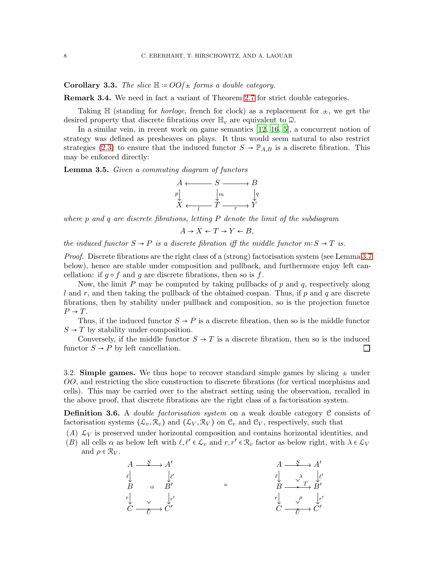Corollary 3.3. The slice  $\mathbb{H}$  :=  $OO/\pm$  forms a double category.

Remark 3.4. We need in fact a variant of Theorem [2.7](#page-5-0) for strict double categories.

Taking  $\mathbb H$  (standing for *horloge*, french for clock) as a replacement for  $\pm$ , we get the desired property that discrete fibrations over  $\mathbb{H}_v$  are equivalent to  $\widehat{\omega}$ .

In a similar vein, in recent work on game semantics [\[12](#page-11-11), [16](#page-11-12), 5], a concurrent notion of strategy was defined as presheaves on plays. It thus would seem natural to also restrict strategies [\(2.3\)](#page-5-2) to ensure that the induced functor  $S \to \mathbb{P}_{A,B}$  is a discrete fibration. This may be enforced directly:

Lemma 3.5. Given a commuting diagram of functors



where p and q are discrete fibrations, letting  $P$  denote the limit of the subdiagram

 $A \rightarrow X \leftarrow T \rightarrow Y \leftarrow B$ ,

the induced functor  $S \to P$  is a discrete fibration iff the middle functor  $m: S \to T$  is.

Proof. Discrete fibrations are the right class of a (strong) factorisation system (see Lemma [3.7](#page-8-1) below), hence are stable under composition and pullback, and furthermore enjoy left cancellation: if  $g \circ f$  and  $g$  are discrete fibrations, then so is  $f$ .

Now, the limit  $P$  may be computed by taking pullbacks of  $p$  and  $q$ , respectively along l and r, and then taking the pullback of the obtained cospan. Thus, if p and q are discrete fibrations, then by stability under pullback and composition, so is the projection functor  $P \rightarrow T$ .

Thus, if the induced functor  $S \rightarrow P$  is a discrete fibration, then so is the middle functor  $S \rightarrow T$  by stability under composition.

Conversely, if the middle functor  $S \to T$  is a discrete fibration, then so is the induced functor  $S \to P$  by left cancellation.  $\Box$ 

3.2. Simple games. We thus hope to recover standard simple games by slicing  $\pm$  under OO, and restricting the slice construction to discrete fibrations (for vertical morphisms and cells). This may be carried over to the abstract setting using the observation, recalled in the above proof, that discrete fibrations are the right class of a factorisation system.

<span id="page-7-1"></span>**Definition 3.6.** A *double factorisation system* on a weak double category  $C$  consists of factorisation systems  $(\mathcal{L}_v, \mathcal{R}_v)$  and  $(\mathcal{L}_V, \mathcal{R}_V)$  on  $\mathcal{C}_v$  and  $\mathcal{C}_V$ , respectively, such that

- <span id="page-7-2"></span><span id="page-7-0"></span>(A)  $\mathcal{L}_V$  is preserved under horizontal composition and contains horizontal identities, and
- (B) all cells  $\alpha$  as below left with  $\ell, \ell' \in \mathcal{L}_v$  and  $r, r' \in \mathcal{R}_v$  factor as below right, with  $\lambda \in \mathcal{L}_V$ and  $\rho \in \mathcal{R}_V$ .

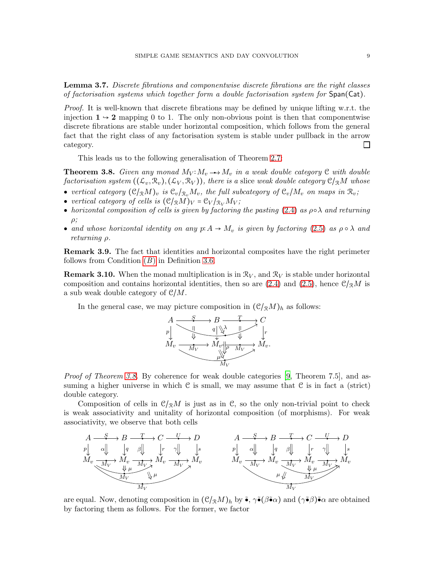<span id="page-8-1"></span>Lemma 3.7. Discrete fibrations and componentwise discrete fibrations are the right classes of factorisation systems which together form a double factorisation system for  $Span(Cat)$ .

Proof. It is well-known that discrete fibrations may be defined by unique lifting w.r.t. the injection  $1 \rightarrow 2$  mapping 0 to 1. The only non-obvious point is then that componentwise discrete fibrations are stable under horizontal composition, which follows from the general fact that the right class of any factorisation system is stable under pullback in the arrow category.  $\Box$ 

This leads us to the following generalisation of Theorem [2.7:](#page-5-0)

<span id="page-8-0"></span>**Theorem 3.8.** Given any monad  $M_V: M_v \rightarrow M_v$  in a weak double category  $C$  with double factorisation system  $((\mathcal{L}_v, \mathcal{R}_v), (\mathcal{L}_V, \mathcal{R}_V))$ , there is a slice weak double category  $\mathcal{C}/_{\mathcal{R}}M$  whose

- vertical category  $(\mathcal{C}/_{\mathcal{R}}M)_{v}$  is  $\mathcal{C}_{v}/_{\mathcal{R}_{v}}M_{v}$ , the full subcategory of  $\mathcal{C}_{v}/M_{v}$  on maps in  $\mathcal{R}_{v}$ ;
- vertical category of cells is  $(\mathcal{C}/_{\mathcal{R}}M)_V = \mathcal{C}_V /_{\mathcal{R}_V} M_V$ ;
- horizontal composition of cells is given by factoring the pasting [\(2.4\)](#page-5-1) as  $\rho \circ \lambda$  and returning  $\rho$ ;
- and whose horizontal identity on any  $p: A \to M_v$  is given by factoring [\(2.5\)](#page-6-1) as  $\rho \circ \lambda$  and returning ρ.

Remark 3.9. The fact that identities and horizontal composites have the right perimeter follows from Condition  $(B)$  $(B)$  $(B)$  in Definition [3.6.](#page-7-1)

**Remark 3.10.** When the monad multiplication is in  $\mathcal{R}_V$ , and  $\mathcal{R}_V$  is stable under horizontal composition and contains horizontal identities, then so are  $(2.4)$  and  $(2.5)$ , hence  $\mathcal{C}/_{\mathcal{R}}M$  is a sub weak double category of  $\mathcal{C}/M$ .

In the general case, we may picture composition in  $(\mathcal{C}/_{\mathcal{R}}M)_h$  as follows:



*Proof of Theorem [3.8.](#page-8-0)* By coherence for weak double categories [\[9](#page-11-13), Theorem 7.5], and assuming a higher universe in which  $C$  is small, we may assume that  $C$  is in fact a (strict) double category.

Composition of cells in  $\mathcal{C}/\mathbb{R}M$  is just as in  $\mathcal{C}$ , so the only non-trivial point to check is weak associativity and unitality of horizontal composition (of morphisms). For weak associativity, we observe that both cells



are equal. Now, denoting composition in  $(\mathcal{C}/_{\mathcal{R}}M)_h$  by  $\tilde{\bullet}$ ,  $\gamma\tilde{\bullet}(\beta\tilde{\bullet}\alpha)$  and  $(\gamma\tilde{\bullet}\beta)\tilde{\bullet}\alpha$  are obtained by factoring them as follows. For the former, we factor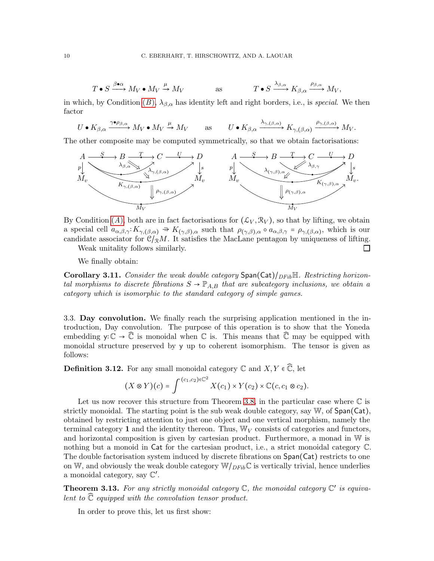$$
T \bullet S \xrightarrow{\beta \bullet \alpha} M_V \bullet M_V \xrightarrow{\mu} M_V \qquad \text{as} \qquad T \bullet S \xrightarrow{\lambda_{\beta,\alpha}} K_{\beta,\alpha} \xrightarrow{\rho_{\beta,\alpha}} M_V,
$$

in which, by Condition  $(B)$  $(B)$  $(B)$ ,  $\lambda_{\beta,\alpha}$  has identity left and right borders, i.e., is special. We then factor

$$
U \bullet K_{\beta,\alpha} \xrightarrow{\gamma \bullet \rho_{\beta,\alpha}} M_V \bullet M_V \xrightarrow{\mu} M_V \qquad \text{as} \qquad U \bullet K_{\beta,\alpha} \xrightarrow{\lambda_{\gamma,(\beta,\alpha)}} K_{\gamma,(\beta,\alpha)} \xrightarrow{\rho_{\gamma,(\beta,\alpha)}} M_V.
$$

The other composite may be computed symmetrically, so that we obtain factorisations:



By Condition  $(A)$  $(A)$  $(A)$ , both are in fact factorisations for  $(\mathcal{L}_V, \mathcal{R}_V)$ , so that by lifting, we obtain a special cell  $a_{\alpha,\beta,\gamma}: K_{\gamma,(\beta,\alpha)} \cong K_{(\gamma,\beta),\alpha}$  such that  $\rho_{(\gamma,\beta),\alpha} \circ a_{\alpha,\beta,\gamma} = \rho_{\gamma,(\beta,\alpha)}$ , which is our candidate associator for  $\mathcal{C}/_{\mathbb{R}}M$ . It satisfies the MacLane pentagon by uniqueness of lifting.  $\Box$ 

Weak unitality follows similarly.

We finally obtain:

**Corollary 3.11.** Consider the weak double category  $\text{Span}(\text{Cat})/_{DFib} \mathbb{H}$ . Restricting horizontal morphisms to discrete fibrations  $S \to \mathbb{P}_{AB}$  that are subcategory inclusions, we obtain a category which is isomorphic to the standard category of simple games.

3.3. Day convolution. We finally reach the surprising application mentioned in the introduction, Day convolution. The purpose of this operation is to show that the Yoneda embedding  $y: \mathbb{C} \to \mathbb{C}$  is monoidal when  $\mathbb{C}$  is. This means that  $\mathbb{C}$  may be equipped with monoidal structure preserved by y up to coherent isomorphism. The tensor is given as follows:

**Definition 3.12.** For any small monoidal category  $\mathbb{C}$  and  $X, Y \in \mathbb{C}$ , let

$$
(X\otimes Y)(c)=\int^{(c_1,c_2)\in\mathbb{C}^2}X(c_1)\times Y(c_2)\times\mathbb{C}(c,c_1\otimes c_2).
$$

Let us now recover this structure from Theorem [3.8,](#page-8-0) in the particular case where  $\mathbb C$  is strictly monoidal. The starting point is the sub weak double category, say W, of Span(Cat), obtained by restricting attention to just one object and one vertical morphism, namely the terminal category 1 and the identity thereon. Thus,  $\mathbb{W}_V$  consists of categories and functors, and horizontal composition is given by cartesian product. Furthermore, a monad in W is nothing but a monoid in Cat for the cartesian product, i.e., a strict monoidal category C. The double factorisation system induced by discrete fibrations on Span(Cat) restricts to one on W, and obviously the weak double category  $\mathbb{W}/_{DFib}\mathbb{C}$  is vertically trivial, hence underlies a monoidal category, say  $\mathbb{C}'$ .

<span id="page-9-0"></span>**Theorem 3.13.** For any strictly monoidal category  $\mathbb{C}$ , the monoidal category  $\mathbb{C}'$  is equivalent to  $\widehat{\mathbb{C}}$  equipped with the convolution tensor product.

In order to prove this, let us first show: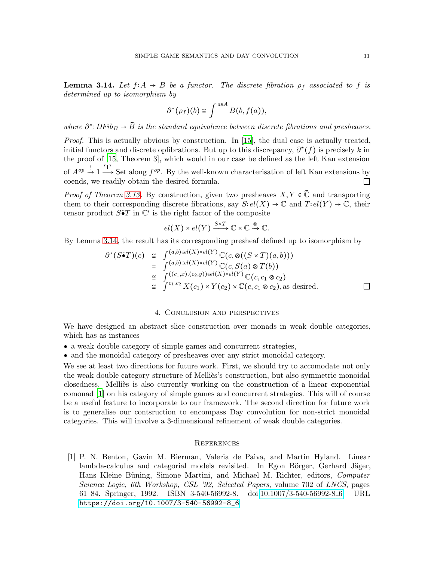<span id="page-10-1"></span>**Lemma 3.14.** Let  $f: A \rightarrow B$  be a functor. The discrete fibration  $\rho_f$  associated to f is determined up to isomorphism by

$$
\partial^{\star}(\rho_f)(b) \cong \int^{a \in A} B(b, f(a)),
$$

where  $\partial^*$ : DFi $b_B \to \widehat{B}$  is the standard equivalence between discrete fibrations and presheaves.

Proof. This is actually obvious by construction. In [\[15\]](#page-11-4), the dual case is actually treated, initial functors and discrete opfibrations. But up to this discrepancy,  $\partial^*(f)$  is precisely k in the proof of [\[15,](#page-11-4) Theorem 3], which would in our case be defined as the left Kan extension of  $A^{op} \to 1 \longrightarrow^{\text{I}}$  Set along  $f^{op}$ . By the well-known characterisation of left Kan extensions by coends, we readily obtain the desired formula.  $\Box$ 

*Proof of Theorem [3.13.](#page-9-0)* By construction, given two presheaves  $X, Y \in \mathbb{C}$  and transporting them to their corresponding discrete fibrations, say  $S:el(X) \to \mathbb{C}$  and  $T:el(Y) \to \mathbb{C}$ , their tensor product  $S\tilde{\bullet}T$  in  $\mathbb{C}'$  is the right factor of the composite

$$
el(X) \times el(Y) \xrightarrow{S \times T} \mathbb{C} \times \mathbb{C} \xrightarrow{\otimes} \mathbb{C}.
$$

By Lemma [3.14,](#page-10-1) the result has its corresponding presheaf defined up to isomorphism by

$$
\partial^*(S\tilde{\bullet}T)(c) \cong \int^{(a,b)\in el(X)\times el(Y)} \mathbb{C}(c,\otimes((S\times T)(a,b)))
$$
  
\n
$$
= \int^{(a,b)\in el(X)\times el(Y)} \mathbb{C}(c,S(a)\otimes T(b))
$$
  
\n
$$
\cong \int^{((c_1,x),(c_2,y))\in el(X)\times el(Y)} \mathbb{C}(c,c_1\otimes c_2)
$$
  
\n
$$
\cong \int^{c_1,c_2} X(c_1)\times Y(c_2)\times \mathbb{C}(c,c_1\otimes c_2), \text{as desired.}
$$

#### 4. Conclusion and perspectives

<span id="page-10-0"></span>We have designed an abstract slice construction over monads in weak double categories, which has as instances

- a weak double category of simple games and concurrent strategies,
- and the monoidal category of presheaves over any strict monoidal category.

We see at least two directions for future work. First, we should try to accomodate not only the weak double category structure of Mellies's construction, but also symmetric monoidal closedness. Melliès is also currently working on the construction of a linear exponential comonad [1] on his category of simple games and concurrent strategies. This will of course be a useful feature to incorporate to our framework. The second direction for future work is to generalise our contsruction to encompass Day convolution for non-strict monoidal categories. This will involve a 3-dimensional refinement of weak double categories.

# **REFERENCES**

[1] P. N. Benton, Gavin M. Bierman, Valeria de Paiva, and Martin Hyland. Linear lambda-calculus and categorial models revisited. In Egon Börger, Gerhard Jäger, Hans Kleine Büning, Simone Martini, and Michael M. Richter, editors, Computer Science Logic, 6th Workshop, CSL '92, Selected Papers, volume 702 of LNCS, pages 61–84. Springer, 1992. ISBN 3-540-56992-8. doi[:10.1007/3-540-56992-8](http://dx.doi.org/10.1007/3-540-56992-8_6) 6. URL [https://doi.org/10.1007/3-540-56992-8\\_6](https://doi.org/10.1007/3-540-56992-8_6).